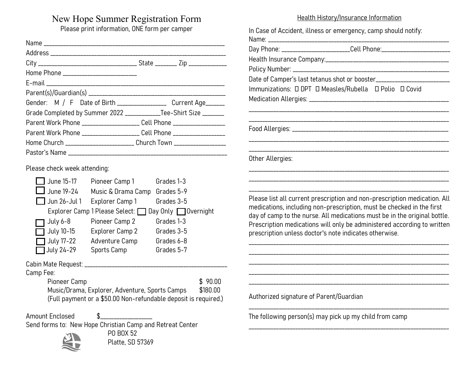# New Hope Summer Registration Form

Please print information, ONE form per camper

| Home Phone ___________________________                                           |  |
|----------------------------------------------------------------------------------|--|
|                                                                                  |  |
|                                                                                  |  |
| Gender: M / F Date of Birth _________________ Current Age______                  |  |
| Grade Completed by Summer 2022 ______________Tee-Shirt Size ________             |  |
|                                                                                  |  |
| Parent Work Phone _____________________ Cell Phone __________________            |  |
| Home            Church _______________________       Church Town _______________ |  |
|                                                                                  |  |

Please check week attending:

| June 15-17          | Pioneer Camp 1                                     | Grades 1-3 |
|---------------------|----------------------------------------------------|------------|
| $\Box$ June 19-24   | Music & Drama Camp                                 | Grades 5-9 |
| $\Box$ Jun 26-Jul 1 | Explorer Camp 1                                    | Grades 3-5 |
|                     | Explorer Camp 1 Please Select: Day Only Dovernight |            |
| July 6-8            | Pioneer Camp 2                                     | Grades 1-3 |
| July 10-15          | Explorer Camp 2                                    | Grades 3-5 |
| $\Box$ July 17-22   | Adventure Camp                                     | Grades 6-8 |
| July 24-29          | Sports Camp                                        | Grades 5-7 |

Cabin Mate Request: \_\_\_\_\_\_\_\_\_\_\_\_\_\_\_\_\_\_\_\_\_\_\_\_\_\_\_\_\_\_\_\_\_\_\_\_\_\_\_\_\_\_\_\_\_\_\_\_\_\_\_\_

Camp Fee:

Pioneer Camp \$ 90.00 Music/Drama, Explorer, Adventure, Sports Camps \$180.00 (Full payment or a \$50.00 Non-refundable deposit is required.)

Amount Enclosed  $$$  \_\_\_\_\_\_\_\_\_\_\_\_\_\_\_ Send forms to: New Hope Christian Camp and Retreat Center



 PO BOX 52 Platte, SD 57369

#### Health History/Insurance Information

|                                         | Day Phone: __________________________Cell Phone:__________________________                                                                                                                                                                                                                                                                                           |
|-----------------------------------------|----------------------------------------------------------------------------------------------------------------------------------------------------------------------------------------------------------------------------------------------------------------------------------------------------------------------------------------------------------------------|
|                                         |                                                                                                                                                                                                                                                                                                                                                                      |
|                                         |                                                                                                                                                                                                                                                                                                                                                                      |
|                                         | Date of Camper's last tetanus shot or booster__________________________                                                                                                                                                                                                                                                                                              |
|                                         | Immunizations: 0 DPT 0 Measles/Rubella 0 Polio 0 Covid                                                                                                                                                                                                                                                                                                               |
|                                         |                                                                                                                                                                                                                                                                                                                                                                      |
|                                         |                                                                                                                                                                                                                                                                                                                                                                      |
|                                         |                                                                                                                                                                                                                                                                                                                                                                      |
| Other Allergies:                        |                                                                                                                                                                                                                                                                                                                                                                      |
|                                         |                                                                                                                                                                                                                                                                                                                                                                      |
|                                         | Please list all current prescription and non-prescription medication. All<br>medications, including non-prescription, must be checked in the first<br>day of camp to the nurse. All medications must be in the original bottle.<br>Prescription medications will only be administered according to written<br>prescription unless doctor's note indicates otherwise. |
|                                         |                                                                                                                                                                                                                                                                                                                                                                      |
|                                         |                                                                                                                                                                                                                                                                                                                                                                      |
|                                         |                                                                                                                                                                                                                                                                                                                                                                      |
| Authorized signature of Parent/Guardian |                                                                                                                                                                                                                                                                                                                                                                      |

The following person(s) may pick up my child from camp

\_\_\_\_\_\_\_\_\_\_\_\_\_\_\_\_\_\_\_\_\_\_\_\_\_\_\_\_\_\_\_\_\_\_\_\_\_\_\_\_\_\_\_\_\_\_\_\_\_\_\_\_\_\_\_\_\_\_\_\_\_\_\_\_\_\_\_\_\_\_\_\_\_